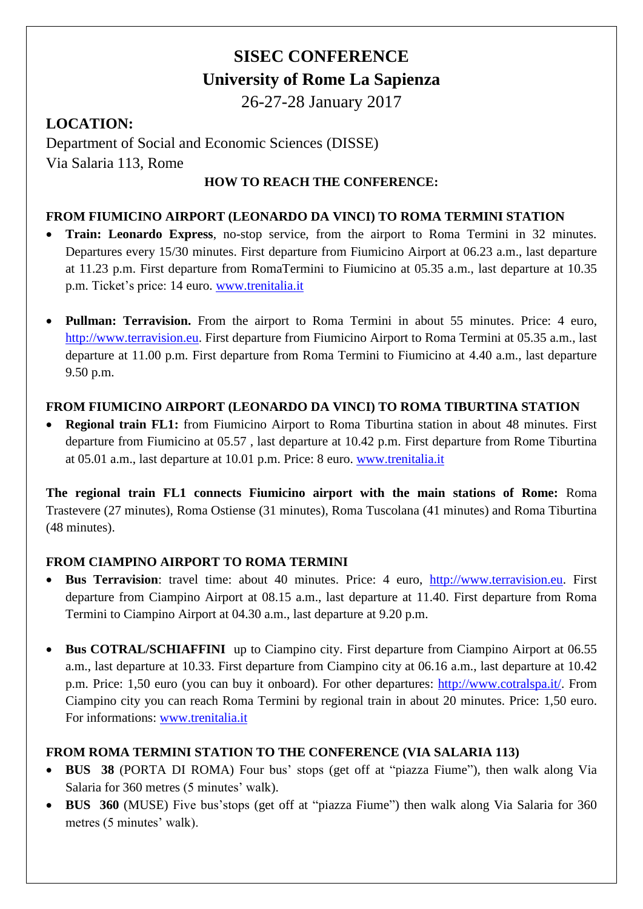# **SISEC CONFERENCE University of Rome La Sapienza**

26-27-28 January 2017

# **LOCATION:**

Department of Social and Economic Sciences (DISSE) Via Salaria 113, Rome

#### **HOW TO REACH THE CONFERENCE:**

#### **FROM FIUMICINO AIRPORT (LEONARDO DA VINCI) TO ROMA TERMINI STATION**

- **Train: Leonardo Express**, no-stop service, from the airport to Roma Termini in 32 minutes. Departures every 15/30 minutes. First departure from Fiumicino Airport at 06.23 a.m., last departure at 11.23 p.m. First departure from RomaTermini to Fiumicino at 05.35 a.m., last departure at 10.35 p.m. Ticket's price: 14 euro. [www.trenitalia.it](http://www.trenitalia.it/)
- **Pullman: Terravision.** From the airport to Roma Termini in about 55 minutes. Price: 4 euro, [http://www.terravision.eu.](http://www.terravision.eu/) First departure from Fiumicino Airport to Roma Termini at 05.35 a.m., last departure at 11.00 p.m. First departure from Roma Termini to Fiumicino at 4.40 a.m., last departure 9.50 p.m.

#### **FROM FIUMICINO AIRPORT (LEONARDO DA VINCI) TO ROMA TIBURTINA STATION**

 **Regional train FL1:** from Fiumicino Airport to Roma Tiburtina station in about 48 minutes. First departure from Fiumicino at 05.57 , last departure at 10.42 p.m. First departure from Rome Tiburtina at 05.01 a.m., last departure at 10.01 p.m. Price: 8 euro. [www.trenitalia.it](http://www.trenitalia.it/)

**The regional train FL1 connects Fiumicino airport with the main stations of Rome:** Roma Trastevere (27 minutes), Roma Ostiense (31 minutes), Roma Tuscolana (41 minutes) and Roma Tiburtina (48 minutes).

## **FROM CIAMPINO AIRPORT TO ROMA TERMINI**

- **Bus Terravision**: travel time: about 40 minutes. Price: 4 euro, [http://www.terravision.eu.](http://www.terravision.eu/) First departure from Ciampino Airport at 08.15 a.m., last departure at 11.40. First departure from Roma Termini to Ciampino Airport at 04.30 a.m., last departure at 9.20 p.m.
- Bus COTRAL/SCHIAFFINI up to Ciampino city. First departure from Ciampino Airport at 06.55 a.m., last departure at 10.33. First departure from Ciampino city at 06.16 a.m., last departure at 10.42 p.m. Price: 1,50 euro (you can buy it onboard). For other departures: [http://www.cotralspa.it/.](http://www.cotralspa.it/) From Ciampino city you can reach Roma Termini by regional train in about 20 minutes. Price: 1,50 euro. For informations: [www.trenitalia.it](http://www.trenitalia.it/)

## **FROM ROMA TERMINI STATION TO THE CONFERENCE (VIA SALARIA 113)**

- **BUS 38** (PORTA DI ROMA) Four bus' stops (get off at "piazza Fiume"), then walk along Via Salaria for 360 metres (5 minutes' walk).
- **BUS 360** (MUSE) Five bus'stops (get off at "piazza Fiume") then walk along Via Salaria for 360 metres (5 minutes' walk).